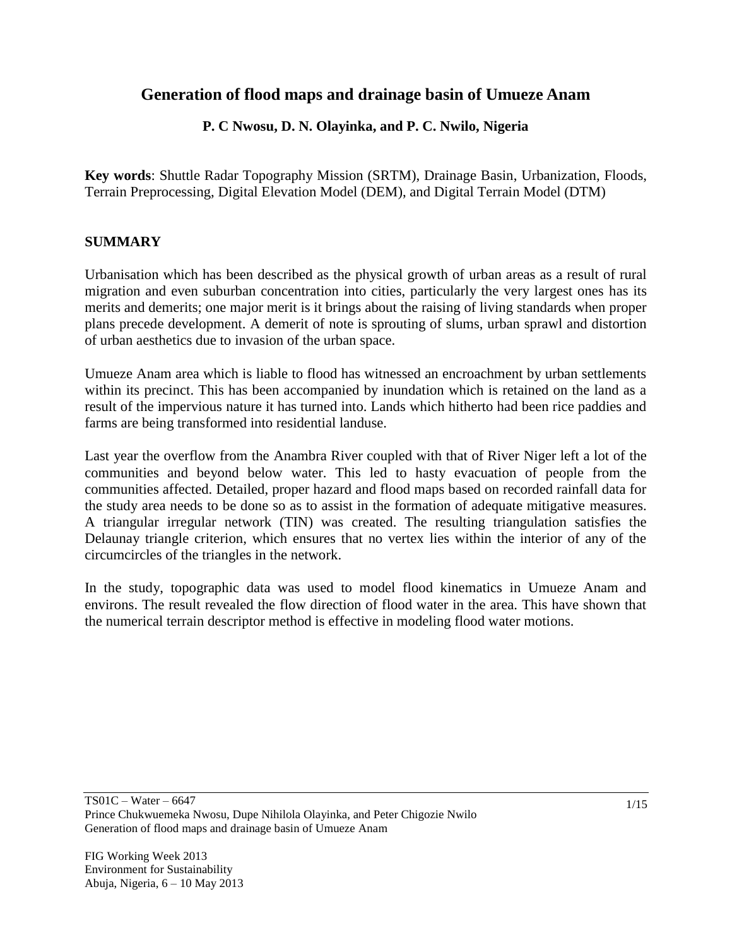# **Generation of flood maps and drainage basin of Umueze Anam**

### **P. C Nwosu, D. N. Olayinka, and P. C. Nwilo, Nigeria**

**Key words**: Shuttle Radar Topography Mission (SRTM), Drainage Basin, Urbanization, Floods, Terrain Preprocessing, Digital Elevation Model (DEM), and Digital Terrain Model (DTM)

#### **SUMMARY**

Urbanisation which has been described as the physical growth of [urban areas](http://en.wikipedia.org/wiki/Urban_areas) as a result of rural migration and even suburban concentration into cities, particularly the very largest ones has its merits and demerits; one major merit is it brings about the raising of living standards when proper plans precede development. A demerit of note is sprouting of slums, urban sprawl and distortion of urban aesthetics due to invasion of the urban space.

Umueze Anam area which is liable to flood has witnessed an encroachment by urban settlements within its precinct. This has been accompanied by inundation which is retained on the land as a result of the impervious nature it has turned into. Lands which hitherto had been rice paddies and farms are being transformed into residential landuse.

Last year the overflow from the Anambra River coupled with that of River Niger left a lot of the communities and beyond below water. This led to hasty evacuation of people from the communities affected. Detailed, proper hazard and flood maps based on recorded rainfall data for the study area needs to be done so as to assist in the formation of adequate mitigative measures. A triangular irregular network (TIN) was created. The resulting triangulation satisfies the Delaunay triangle criterion, which ensures that no vertex lies within the interior of any of the circumcircles of the triangles in the network.

In the study, topographic data was used to model flood kinematics in Umueze Anam and environs. The result revealed the flow direction of flood water in the area. This have shown that the numerical terrain descriptor method is effective in modeling flood water motions.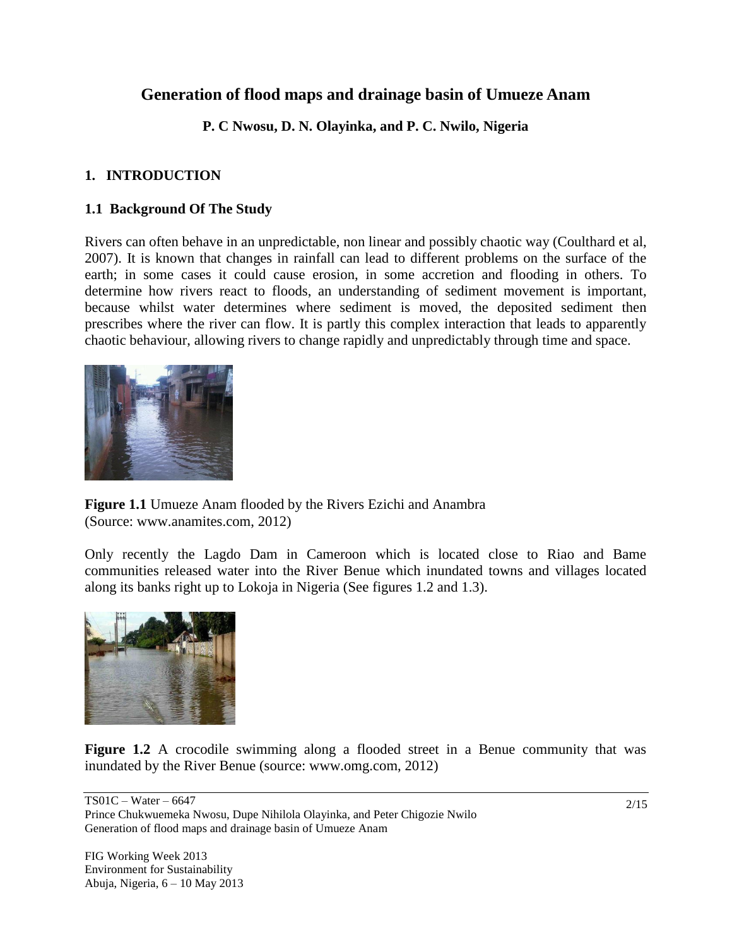# **Generation of flood maps and drainage basin of Umueze Anam**

**P. C Nwosu, D. N. Olayinka, and P. C. Nwilo, Nigeria**

### **1. INTRODUCTION**

### **1.1 Background Of The Study**

Rivers can often behave in an unpredictable, non linear and possibly chaotic way (Coulthard et al, 2007). It is known that changes in rainfall can lead to different problems on the surface of the earth; in some cases it could cause erosion, in some accretion and flooding in others. To determine how rivers react to floods, an understanding of sediment movement is important, because whilst water determines where sediment is moved, the deposited sediment then prescribes where the river can flow. It is partly this complex interaction that leads to apparently chaotic behaviour, allowing rivers to change rapidly and unpredictably through time and space.



**Figure 1.1** Umueze Anam flooded by the Rivers Ezichi and Anambra (Source: www.anamites.com, 2012)

Only recently the Lagdo Dam in Cameroon which is located close to Riao and Bame communities released water into the River Benue which inundated towns and villages located along its banks right up to Lokoja in Nigeria (See figures 1.2 and 1.3).



**Figure 1.2** A crocodile swimming along a flooded street in a Benue community that was inundated by the River Benue (source: www.omg.com, 2012)

TS01C – Water – 6647 Prince Chukwuemeka Nwosu, Dupe Nihilola Olayinka, and Peter Chigozie Nwilo Generation of flood maps and drainage basin of Umueze Anam

FIG Working Week 2013 Environment for Sustainability Abuja, Nigeria, 6 – 10 May 2013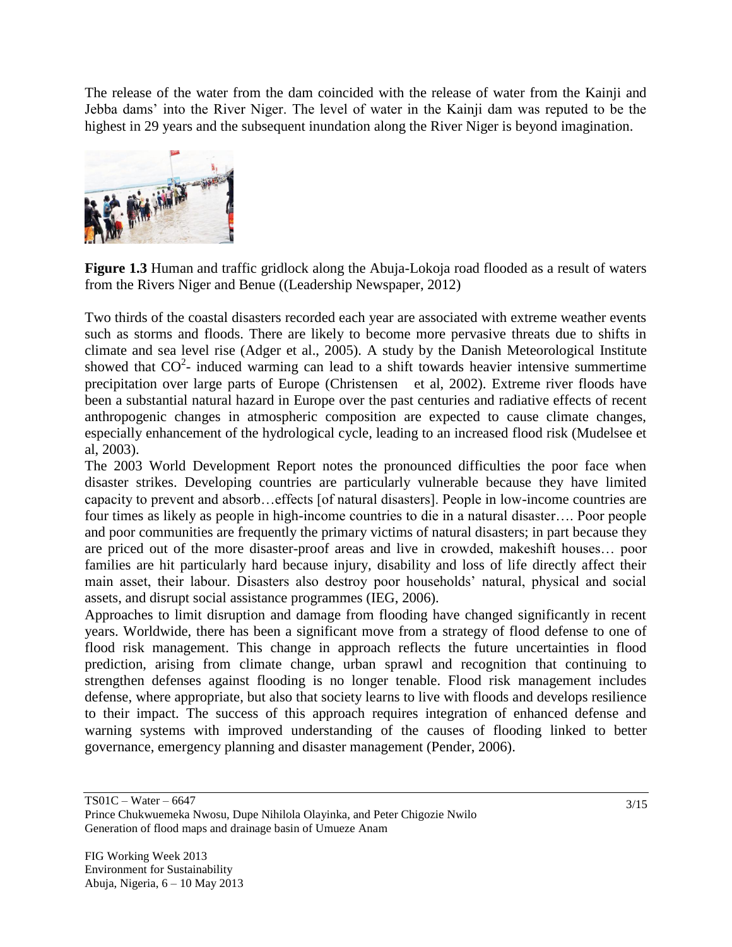The release of the water from the dam coincided with the release of water from the Kainji and Jebba dams" into the River Niger. The level of water in the Kainji dam was reputed to be the highest in 29 years and the subsequent inundation along the River Niger is beyond imagination.



**Figure 1.3** Human and traffic gridlock along the Abuja-Lokoja road flooded as a result of waters from the Rivers Niger and Benue ((Leadership Newspaper, 2012)

Two thirds of the coastal disasters recorded each year are associated with extreme weather events such as storms and floods. There are likely to become more pervasive threats due to shifts in climate and sea level rise (Adger et al., 2005). A study by the Danish Meteorological Institute showed that  $CO<sup>2</sup>$ - induced warming can lead to a shift towards heavier intensive summertime precipitation over large parts of Europe (Christensen et al, 2002). Extreme river floods have been a substantial natural hazard in Europe over the past centuries and radiative effects of recent anthropogenic changes in atmospheric composition are expected to cause climate changes, especially enhancement of the hydrological cycle, leading to an increased flood risk (Mudelsee et al, 2003).

The 2003 World Development Report notes the pronounced difficulties the poor face when disaster strikes. Developing countries are particularly vulnerable because they have limited capacity to prevent and absorb…effects [of natural disasters]. People in low-income countries are four times as likely as people in high-income countries to die in a natural disaster…. Poor people and poor communities are frequently the primary victims of natural disasters; in part because they are priced out of the more disaster-proof areas and live in crowded, makeshift houses… poor families are hit particularly hard because injury, disability and loss of life directly affect their main asset, their labour. Disasters also destroy poor households" natural, physical and social assets, and disrupt social assistance programmes (IEG, 2006).

Approaches to limit disruption and damage from flooding have changed significantly in recent years. Worldwide, there has been a significant move from a strategy of flood defense to one of flood risk management. This change in approach reflects the future uncertainties in flood prediction, arising from climate change, urban sprawl and recognition that continuing to strengthen defenses against flooding is no longer tenable. Flood risk management includes defense, where appropriate, but also that society learns to live with floods and develops resilience to their impact. The success of this approach requires integration of enhanced defense and warning systems with improved understanding of the causes of flooding linked to better governance, emergency planning and disaster management (Pender, 2006).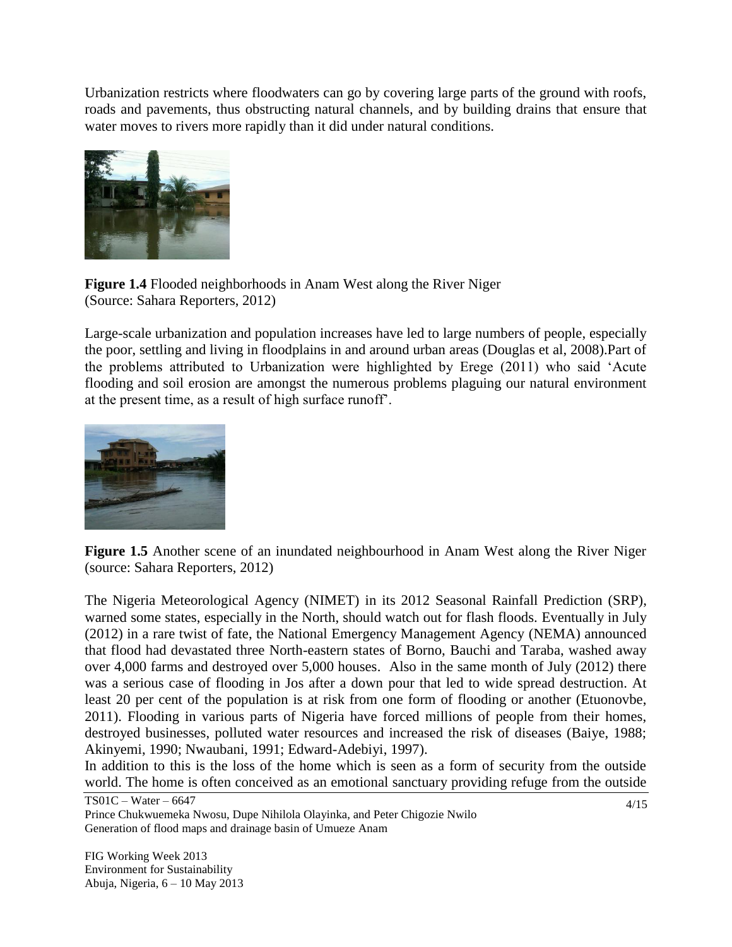Urbanization restricts where floodwaters can go by covering large parts of the ground with roofs, roads and pavements, thus obstructing natural channels, and by building drains that ensure that water moves to rivers more rapidly than it did under natural conditions.



**Figure 1.4** Flooded neighborhoods in Anam West along the River Niger (Source: Sahara Reporters, 2012)

Large-scale urbanization and population increases have led to large numbers of people, especially the poor, settling and living in floodplains in and around urban areas (Douglas et al, 2008).Part of the problems attributed to Urbanization were highlighted by Erege (2011) who said "Acute flooding and soil erosion are amongst the numerous problems plaguing our natural environment at the present time, as a result of high surface runoff".



**Figure 1.5** Another scene of an inundated neighbourhood in Anam West along the River Niger (source: Sahara Reporters, 2012)

The Nigeria Meteorological Agency (NIMET) in its 2012 Seasonal Rainfall Prediction (SRP), warned some states, especially in the North, should watch out for flash floods. Eventually in July (2012) in a rare twist of fate, the National Emergency Management Agency (NEMA) announced that flood had devastated three North-eastern states of Borno, Bauchi and Taraba, washed away over 4,000 farms and destroyed over 5,000 houses. Also in the same month of July (2012) there was a serious case of flooding in Jos after a down pour that led to wide spread destruction. At least 20 per cent of the population is at risk from one form of flooding or another (Etuonovbe, 2011). Flooding in various parts of Nigeria have forced millions of people from their homes, destroyed businesses, polluted water resources and increased the risk of diseases (Baiye, 1988; Akinyemi, 1990; Nwaubani, 1991; Edward-Adebiyi, 1997).

In addition to this is the loss of the home which is seen as a form of security from the outside world. The home is often conceived as an emotional sanctuary providing refuge from the outside

TS01C – Water – 6647 Prince Chukwuemeka Nwosu, Dupe Nihilola Olayinka, and Peter Chigozie Nwilo Generation of flood maps and drainage basin of Umueze Anam

FIG Working Week 2013 Environment for Sustainability Abuja, Nigeria, 6 – 10 May 2013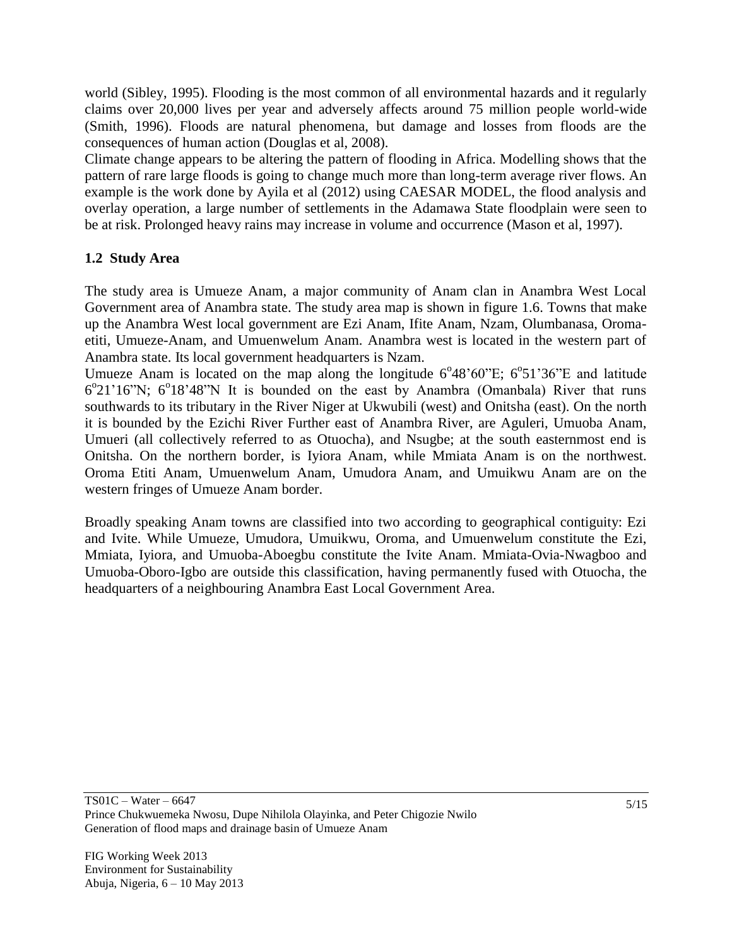world (Sibley, 1995). Flooding is the most common of all environmental hazards and it regularly claims over 20,000 lives per year and adversely affects around 75 million people world-wide (Smith, 1996). Floods are natural phenomena, but damage and losses from floods are the consequences of human action (Douglas et al, 2008).

Climate change appears to be altering the pattern of flooding in Africa. Modelling shows that the pattern of rare large floods is going to change much more than long-term average river flows. An example is the work done by Ayila et al (2012) using CAESAR MODEL, the flood analysis and overlay operation, a large number of settlements in the Adamawa State floodplain were seen to be at risk. Prolonged heavy rains may increase in volume and occurrence (Mason et al, 1997).

### **1.2 Study Area**

The study area is Umueze Anam, a major community of Anam clan in Anambra West Local Government area of Anambra state. The study area map is shown in figure 1.6. Towns that make up the Anambra West local government are Ezi Anam, Ifite Anam, Nzam, Olumbanasa, Oromaetiti, Umueze-Anam, and Umuenwelum Anam. Anambra west is located in the western part of Anambra state. Its local government headquarters is Nzam.

Umueze Anam is located on the map along the longitude  $6^{\circ}48^{\circ}60^{\circ}E$ ;  $6^{\circ}51^{\circ}36^{\circ}E$  and latitude 6°21'16"N; 6°18'48"N It is bounded on the east by Anambra (Omanbala) River that runs southwards to its tributary in the River Niger at Ukwubili (west) and Onitsha (east). On the north it is bounded by the Ezichi River Further east of Anambra River, are Aguleri, Umuoba Anam, Umueri (all collectively referred to as Otuocha), and Nsugbe; at the south easternmost end is Onitsha. On the northern border, is Iyiora Anam, while Mmiata Anam is on the northwest. Oroma Etiti Anam, Umuenwelum Anam, Umudora Anam, and Umuikwu Anam are on the western fringes of Umueze Anam border.

Broadly speaking Anam towns are classified into two according to geographical contiguity: Ezi and Ivite. While Umueze, Umudora, Umuikwu, Oroma, and Umuenwelum constitute the Ezi, Mmiata, Iyiora, and Umuoba-Aboegbu constitute the Ivite Anam. Mmiata-Ovia-Nwagboo and Umuoba-Oboro-Igbo are outside this classification, having permanently fused with Otuocha, the headquarters of a neighbouring Anambra East Local Government Area.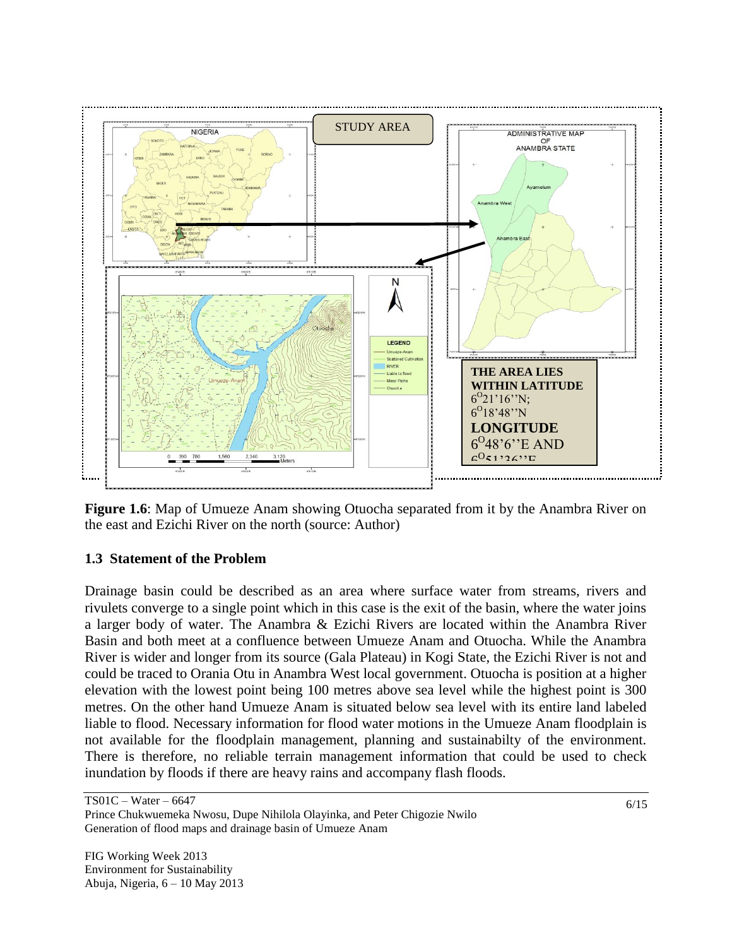

**Figure 1.6**: Map of Umueze Anam showing Otuocha separated from it by the Anambra River on the east and Ezichi River on the north (source: Author)

### **1.3 Statement of the Problem**

Drainage basin could be described as an area where surface water from streams, rivers and rivulets converge to a single point which in this case is the exit of the basin, where the water joins a larger body of water. The Anambra & Ezichi Rivers are located within the Anambra River Basin and both meet at a confluence between Umueze Anam and Otuocha. While the Anambra River is wider and longer from its source (Gala Plateau) in Kogi State, the Ezichi River is not and could be traced to Orania Otu in Anambra West local government. Otuocha is position at a higher elevation with the lowest point being 100 metres above sea level while the highest point is 300 metres. On the other hand Umueze Anam is situated below sea level with its entire land labeled liable to flood. Necessary information for flood water motions in the Umueze Anam floodplain is not available for the floodplain management, planning and sustainabilty of the environment. There is therefore, no reliable terrain management information that could be used to check inundation by floods if there are heavy rains and accompany flash floods.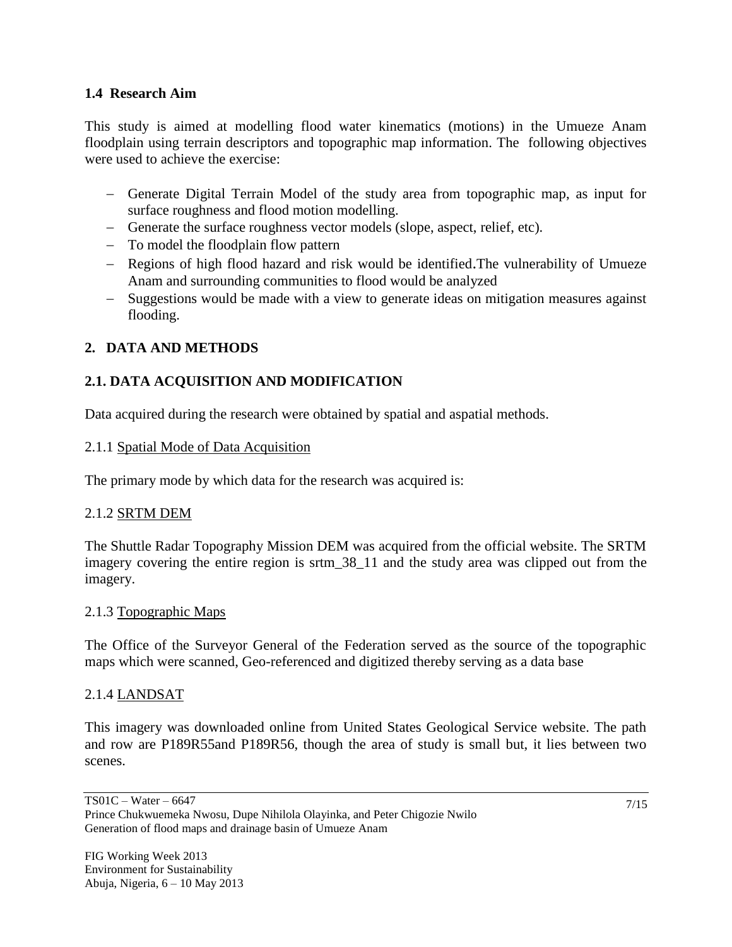#### **1.4 Research Aim**

This study is aimed at modelling flood water kinematics (motions) in the Umueze Anam floodplain using terrain descriptors and topographic map information. The following objectives were used to achieve the exercise:

- Generate Digital Terrain Model of the study area from topographic map, as input for surface roughness and flood motion modelling.
- Generate the surface roughness vector models (slope, aspect, relief, etc).
- To model the floodplain flow pattern
- Regions of high flood hazard and risk would be identified. The vulnerability of Umueze Anam and surrounding communities to flood would be analyzed
- Suggestions would be made with a view to generate ideas on mitigation measures against flooding.

## **2. DATA AND METHODS**

# **2.1. DATA ACQUISITION AND MODIFICATION**

Data acquired during the research were obtained by spatial and aspatial methods.

### 2.1.1 Spatial Mode of Data Acquisition

The primary mode by which data for the research was acquired is:

### 2.1.2 SRTM DEM

The Shuttle Radar Topography Mission DEM was acquired from the official website. The SRTM imagery covering the entire region is srtm\_38\_11 and the study area was clipped out from the imagery.

#### 2.1.3 Topographic Maps

The Office of the Surveyor General of the Federation served as the source of the topographic maps which were scanned, Geo-referenced and digitized thereby serving as a data base

### 2.1.4 LANDSAT

This imagery was downloaded online from United States Geological Service website. The path and row are P189R55and P189R56, though the area of study is small but, it lies between two scenes.

TS01C – Water – 6647

Prince Chukwuemeka Nwosu, Dupe Nihilola Olayinka, and Peter Chigozie Nwilo Generation of flood maps and drainage basin of Umueze Anam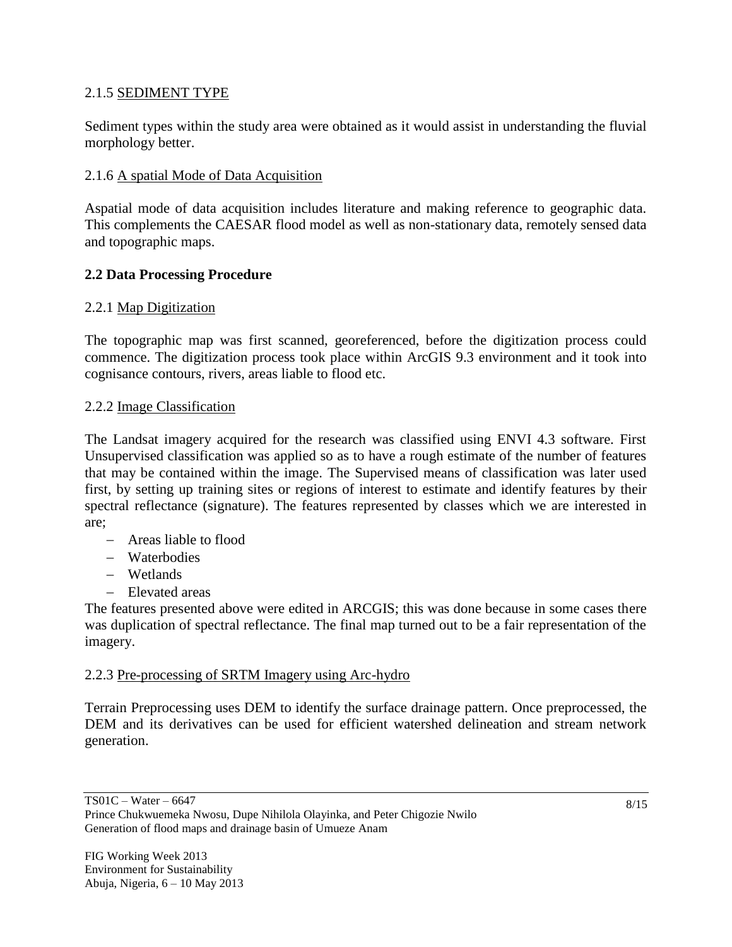### 2.1.5 SEDIMENT TYPE

Sediment types within the study area were obtained as it would assist in understanding the fluvial morphology better.

### 2.1.6 A spatial Mode of Data Acquisition

Aspatial mode of data acquisition includes literature and making reference to geographic data. This complements the CAESAR flood model as well as non-stationary data, remotely sensed data and topographic maps.

### **2.2 Data Processing Procedure**

#### 2.2.1 Map Digitization

The topographic map was first scanned, georeferenced, before the digitization process could commence. The digitization process took place within ArcGIS 9.3 environment and it took into cognisance contours, rivers, areas liable to flood etc.

#### 2.2.2 Image Classification

The Landsat imagery acquired for the research was classified using ENVI 4.3 software. First Unsupervised classification was applied so as to have a rough estimate of the number of features that may be contained within the image. The Supervised means of classification was later used first, by setting up training sites or regions of interest to estimate and identify features by their spectral reflectance (signature). The features represented by classes which we are interested in are;

- Areas liable to flood
- Waterbodies
- Wetlands
- Elevated areas

The features presented above were edited in ARCGIS; this was done because in some cases there was duplication of spectral reflectance. The final map turned out to be a fair representation of the imagery.

#### 2.2.3 Pre-processing of SRTM Imagery using Arc-hydro

Terrain Preprocessing uses DEM to identify the surface drainage pattern. Once preprocessed, the DEM and its derivatives can be used for efficient watershed delineation and stream network generation.

Prince Chukwuemeka Nwosu, Dupe Nihilola Olayinka, and Peter Chigozie Nwilo Generation of flood maps and drainage basin of Umueze Anam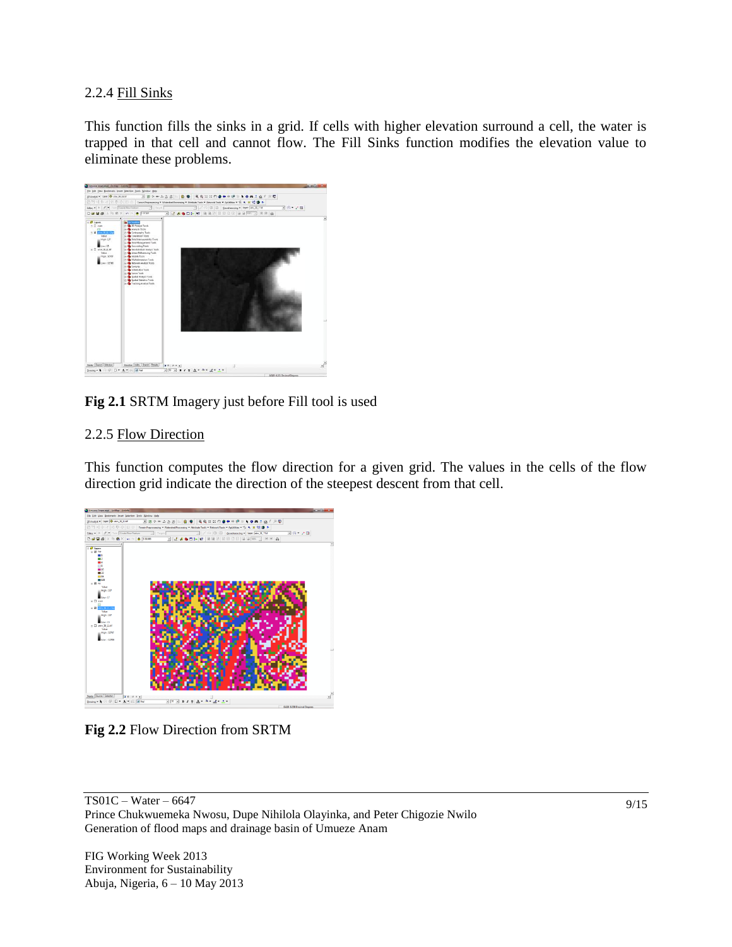#### 2.2.4 Fill Sinks

This function fills the sinks in a grid. If cells with higher elevation surround a cell, the water is trapped in that cell and cannot flow. The Fill Sinks function modifies the elevation value to eliminate these problems.



### **Fig 2.1** SRTM Imagery just before Fill tool is used

#### 2.2.5 Flow Direction

This function computes the flow direction for a given grid. The values in the cells of the flow direction grid indicate the direction of the steepest descent from that cell.



**Fig 2.2** Flow Direction from SRTM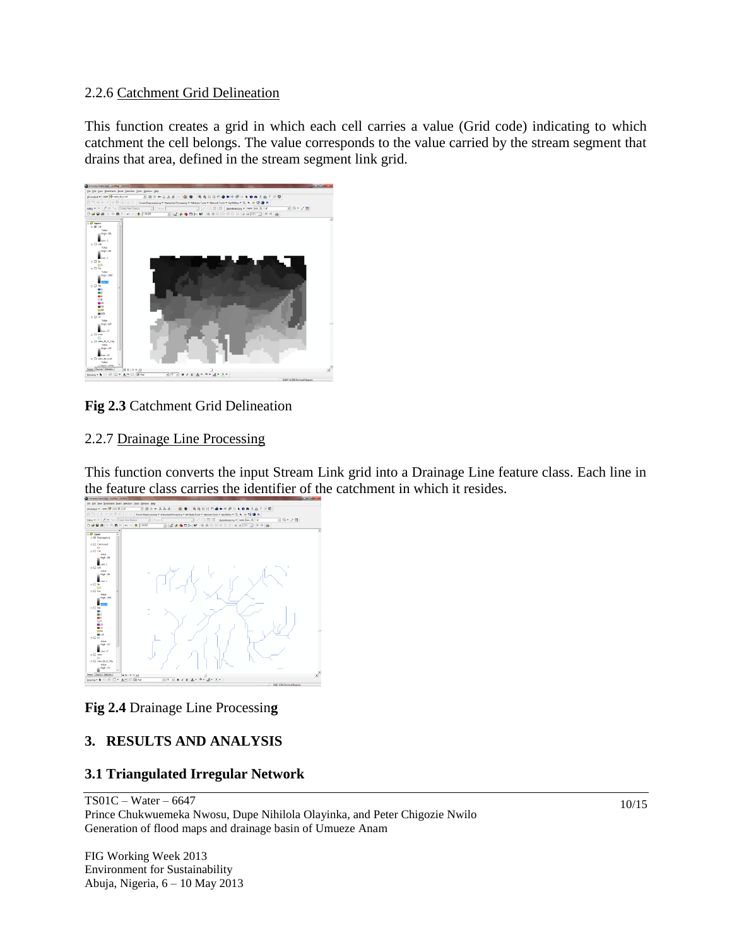#### 2.2.6 Catchment Grid Delineation

This function creates a grid in which each cell carries a value (Grid code) indicating to which catchment the cell belongs. The value corresponds to the value carried by the stream segment that drains that area, defined in the stream segment link grid.



### **Fig 2.3** Catchment Grid Delineation

#### 2.2.7 Drainage Line Processing

This function converts the input Stream Link grid into a Drainage Line feature class. Each line in the feature class carries the identifier of the catchment in which it resides.



### **Fig 2.4** Drainage Line Processin**g**

### **3. RESULTS AND ANALYSIS**

#### **3.1 Triangulated Irregular Network**

TS01C – Water – 6647 Prince Chukwuemeka Nwosu, Dupe Nihilola Olayinka, and Peter Chigozie Nwilo Generation of flood maps and drainage basin of Umueze Anam

FIG Working Week 2013 Environment for Sustainability Abuja, Nigeria, 6 – 10 May 2013 10/15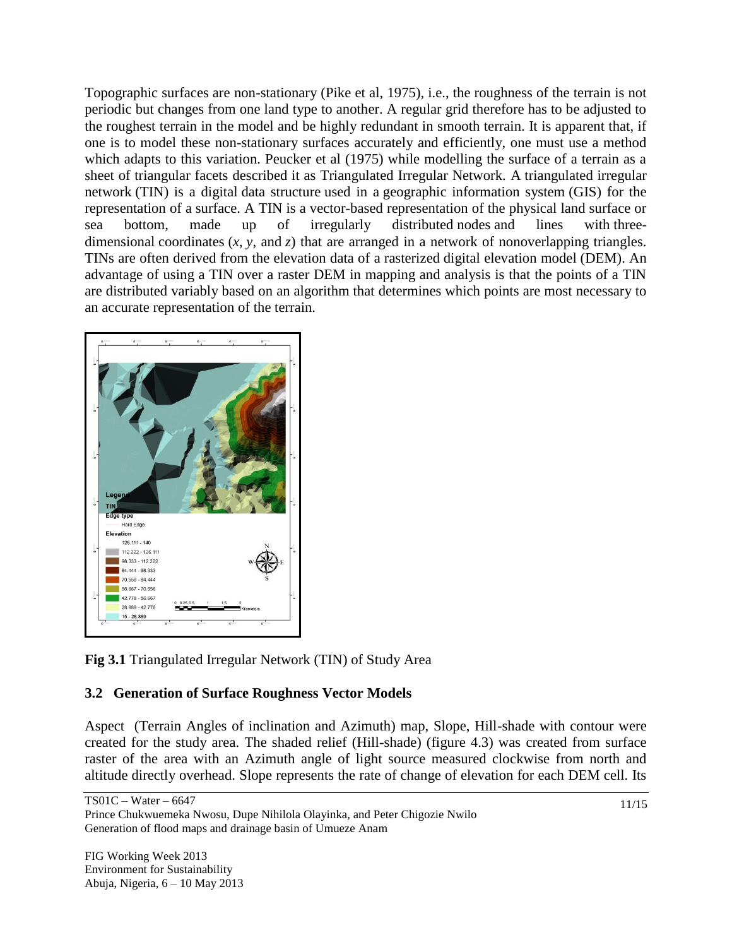Topographic surfaces are non-stationary (Pike et al, 1975), i.e., the roughness of the terrain is not periodic but changes from one land type to another. A regular grid therefore has to be adjusted to the roughest terrain in the model and be highly redundant in smooth terrain. It is apparent that, if one is to model these non-stationary surfaces accurately and efficiently, one must use a method which adapts to this variation. Peucker et al (1975) while modelling the surface of a terrain as a sheet of triangular facets described it as Triangulated Irregular Network. A triangulated irregular network (TIN) is a digital [data structure](http://en.wikipedia.org/wiki/Data_structure) used in a geographic information system (GIS) for the representation of a [surface.](http://en.wikipedia.org/wiki/Surface) A TIN is a [vector-](http://en.wikipedia.org/wiki/Array_data_type)based representation of the physical land surface or sea bottom, made up of irregularly distributed [nodes](http://en.wikipedia.org/wiki/Vertex_(geometry)) and lines with [three](http://en.wikipedia.org/wiki/Dimension)[dimensional](http://en.wikipedia.org/wiki/Dimension) [coordinates](http://en.wikipedia.org/wiki/Coordinates) (*x*, *y*, and *z*) that are arranged in a network of nonoverlapping triangles. TINs are often derived from the elevation data of a [rasterized](http://en.wikipedia.org/wiki/Rasterisation) [digital elevation model](http://en.wikipedia.org/wiki/Digital_elevation_model) (DEM). An advantage of using a TIN over a raster DEM in mapping and analysis is that the points of a TIN are distributed variably based on an [algorithm](http://en.wikipedia.org/wiki/Algorithm) that determines which points are most necessary to an accurate representation of the terrain.



**Fig 3.1** Triangulated Irregular Network (TIN) of Study Area

### **3.2 Generation of Surface Roughness Vector Models**

Aspect (Terrain Angles of inclination and Azimuth) map, Slope, Hill-shade with contour were created for the study area. The shaded relief (Hill-shade) (figure 4.3) was created from surface raster of the area with an Azimuth angle of light source measured clockwise from north and altitude directly overhead. Slope represents the rate of change of elevation for each DEM cell. Its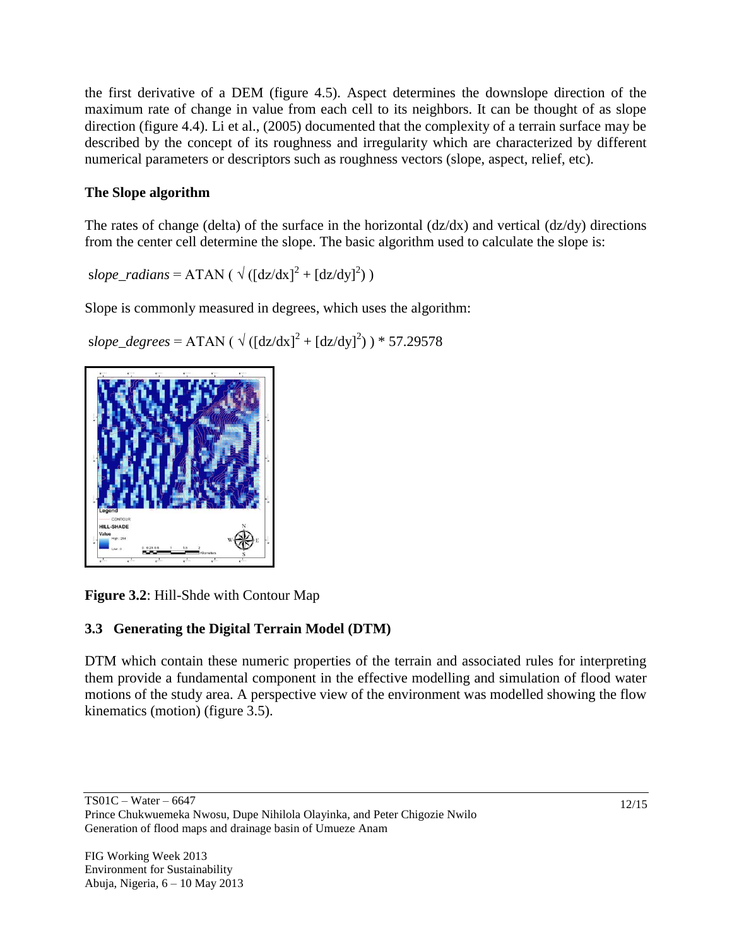the first derivative of a DEM (figure 4.5). Aspect determines the downslope direction of the maximum rate of change in value from each cell to its neighbors. It can be thought of as slope direction (figure 4.4). Li et al., (2005) documented that the complexity of a terrain surface may be described by the concept of its roughness and irregularity which are characterized by different numerical parameters or descriptors such as roughness vectors (slope, aspect, relief, etc).

## **The Slope algorithm**

The rates of change (delta) of the surface in the horizontal  $\left(\frac{dz}{dx}\right)$  and vertical  $\left(\frac{dz}{dy}\right)$  directions from the center cell determine the slope. The basic algorithm used to calculate the slope is:

 $slope\_radians = ATAN (\sqrt{([dz/dx]^2 + [dz/dy]^2)})$ 

Slope is commonly measured in degrees, which uses the algorithm:

slope\_degrees = ATAN (  $\sqrt{($ [dz/dx]<sup>2</sup> + [dz/dy]<sup>2</sup>) ) \* 57.29578



**Figure 3.2**: Hill-Shde with Contour Map

# **3.3 Generating the Digital Terrain Model (DTM)**

DTM which contain these numeric properties of the terrain and associated rules for interpreting them provide a fundamental component in the effective modelling and simulation of flood water motions of the study area. A perspective view of the environment was modelled showing the flow kinematics (motion) (figure 3.5).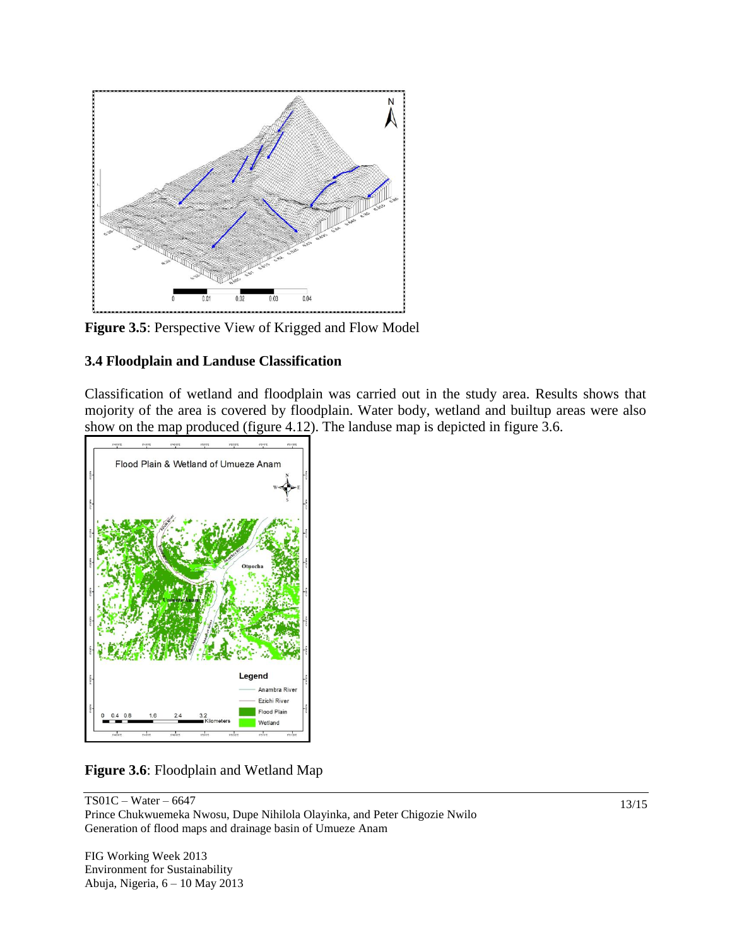

**Figure 3.5**: Perspective View of Krigged and Flow Model

### **3.4 Floodplain and Landuse Classification**

Classification of wetland and floodplain was carried out in the study area. Results shows that mojority of the area is covered by floodplain. Water body, wetland and builtup areas were also show on the map produced (figure 4.12). The landuse map is depicted in figure 3.6.



**Figure 3.6**: Floodplain and Wetland Map

TS01C – Water – 6647 Prince Chukwuemeka Nwosu, Dupe Nihilola Olayinka, and Peter Chigozie Nwilo Generation of flood maps and drainage basin of Umueze Anam

FIG Working Week 2013 Environment for Sustainability Abuja, Nigeria, 6 – 10 May 2013 13/15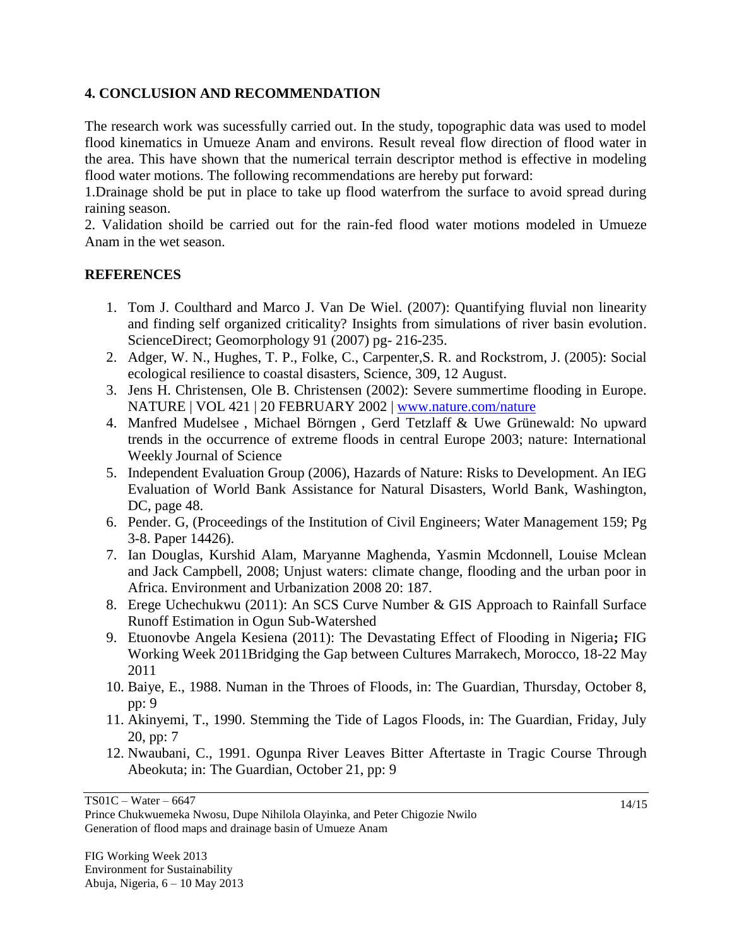### **4. CONCLUSION AND RECOMMENDATION**

The research work was sucessfully carried out. In the study, topographic data was used to model flood kinematics in Umueze Anam and environs. Result reveal flow direction of flood water in the area. This have shown that the numerical terrain descriptor method is effective in modeling flood water motions. The following recommendations are hereby put forward:

1.Drainage shold be put in place to take up flood waterfrom the surface to avoid spread during raining season.

2. Validation shoild be carried out for the rain-fed flood water motions modeled in Umueze Anam in the wet season.

#### **REFERENCES**

- 1. Tom J. Coulthard and Marco J. Van De Wiel. (2007): Quantifying fluvial non linearity and finding self organized criticality? Insights from simulations of river basin evolution. ScienceDirect; Geomorphology 91 (2007) pg- 216-235.
- 2. Adger, W. N., Hughes, T. P., Folke, C., Carpenter,S. R. and Rockstrom, J. (2005): Social ecological resilience to coastal disasters, Science, 309, 12 August.
- 3. Jens H. Christensen, Ole B. Christensen (2002): Severe summertime flooding in Europe. NATURE | VOL 421 | 20 FEBRUARY 2002 | [www.nature.com/nature](http://www.nature.com/nature)
- 4. Manfred Mudelsee , Michael Börngen , Gerd Tetzlaff & Uwe Grünewald: No upward trends in the occurrence of extreme floods in central Europe 2003; nature: International Weekly Journal of Science
- 5. Independent Evaluation Group (2006), Hazards of Nature: Risks to Development. An IEG Evaluation of World Bank Assistance for Natural Disasters, World Bank, Washington, DC, page 48.
- 6. Pender. G, (Proceedings of the Institution of Civil Engineers; Water Management 159; Pg 3-8. Paper 14426).
- 7. Ian Douglas, Kurshid Alam, Maryanne Maghenda, Yasmin Mcdonnell, Louise Mclean and Jack Campbell, 2008; Unjust waters: climate change, flooding and the urban poor in Africa. Environment and Urbanization 2008 20: 187.
- 8. Erege Uchechukwu (2011): An SCS Curve Number & GIS Approach to Rainfall Surface Runoff Estimation in Ogun Sub-Watershed
- 9. Etuonovbe Angela Kesiena (2011): The Devastating Effect of Flooding in Nigeria**;** FIG Working Week 2011Bridging the Gap between Cultures Marrakech, Morocco, 18-22 May 2011
- 10. Baiye, E., 1988. Numan in the Throes of Floods, in: The Guardian, Thursday, October 8, pp: 9
- 11. Akinyemi, T., 1990. Stemming the Tide of Lagos Floods, in: The Guardian, Friday, July 20, pp: 7
- 12. Nwaubani, C., 1991. Ogunpa River Leaves Bitter Aftertaste in Tragic Course Through Abeokuta; in: The Guardian, October 21, pp: 9

TS01C – Water – 6647

Prince Chukwuemeka Nwosu, Dupe Nihilola Olayinka, and Peter Chigozie Nwilo Generation of flood maps and drainage basin of Umueze Anam